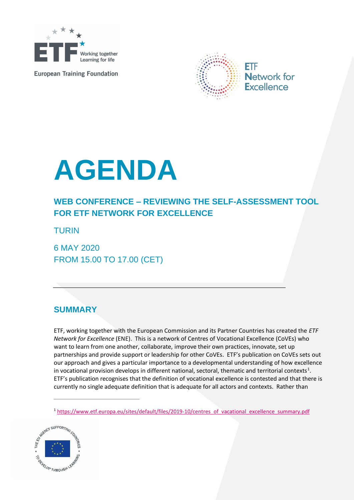

**European Training Foundation** 



## **AGENDA**

## **WEB CONFERENCE – REVIEWING THE SELF-ASSESSMENT TOOL FOR ETF NETWORK FOR EXCELLENCE**

TURIN

6 MAY 2020 FROM 15.00 TO 17.00 (CET)

## **SUMMARY**

ETF, working together with the European Commission and its Partner Countries has created the *ETF Network for Excellence* (ENE). This is a network of Centres of Vocational Excellence (CoVEs) who want to learn from one another, collaborate, improve their own practices, innovate, set up partnerships and provide support or leadership for other CoVEs. ETF's publication on CoVEs sets out our approach and gives a particular importance to a developmental understanding of how excellence in vocational provision develops in different national, sectoral, thematic and territorial contexts<sup>1</sup>. ETF's publication recognises that the definition of vocational excellence is contested and that there is currently no single adequate definition that is adequate for all actors and contexts. Rather than